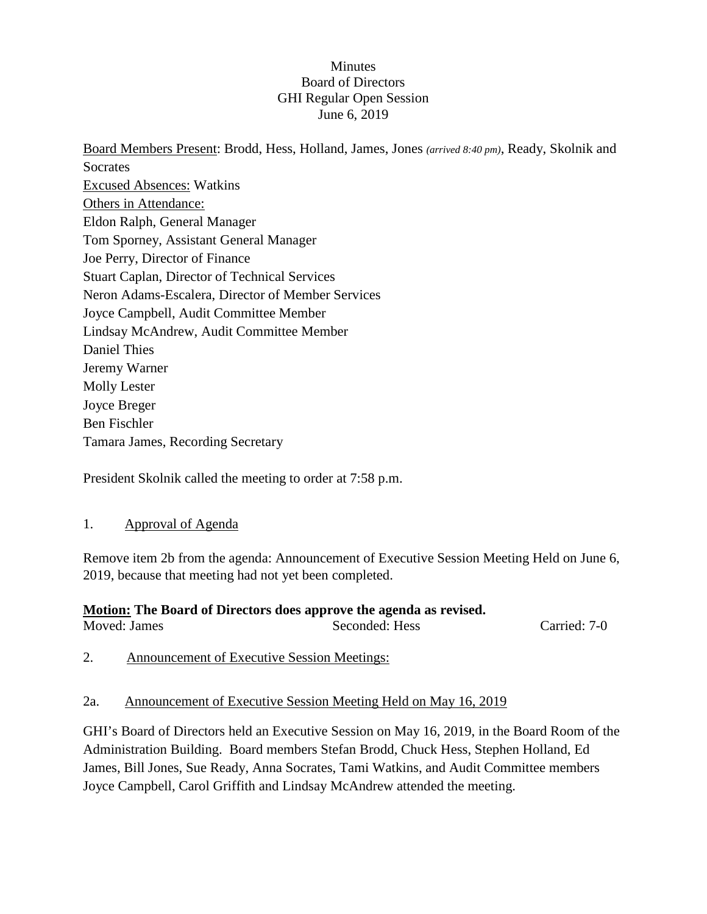### **Minutes** Board of Directors GHI Regular Open Session June 6, 2019

Board Members Present: Brodd, Hess, Holland, James, Jones *(arrived 8:40 pm)*, Ready, Skolnik and **Socrates** Excused Absences: Watkins Others in Attendance: Eldon Ralph, General Manager Tom Sporney, Assistant General Manager Joe Perry, Director of Finance Stuart Caplan, Director of Technical Services Neron Adams-Escalera, Director of Member Services Joyce Campbell, Audit Committee Member Lindsay McAndrew, Audit Committee Member Daniel Thies Jeremy Warner Molly Lester Joyce Breger Ben Fischler Tamara James, Recording Secretary

President Skolnik called the meeting to order at 7:58 p.m.

# 1. Approval of Agenda

Remove item 2b from the agenda: Announcement of Executive Session Meeting Held on June 6, 2019, because that meeting had not yet been completed.

#### **Motion: The Board of Directors does approve the agenda as revised.** Moved: James Seconded: Hess Carried: 7-0

2. Announcement of Executive Session Meetings:

# 2a. Announcement of Executive Session Meeting Held on May 16, 2019

GHI's Board of Directors held an Executive Session on May 16, 2019, in the Board Room of the Administration Building. Board members Stefan Brodd, Chuck Hess, Stephen Holland, Ed James, Bill Jones, Sue Ready, Anna Socrates, Tami Watkins, and Audit Committee members Joyce Campbell, Carol Griffith and Lindsay McAndrew attended the meeting.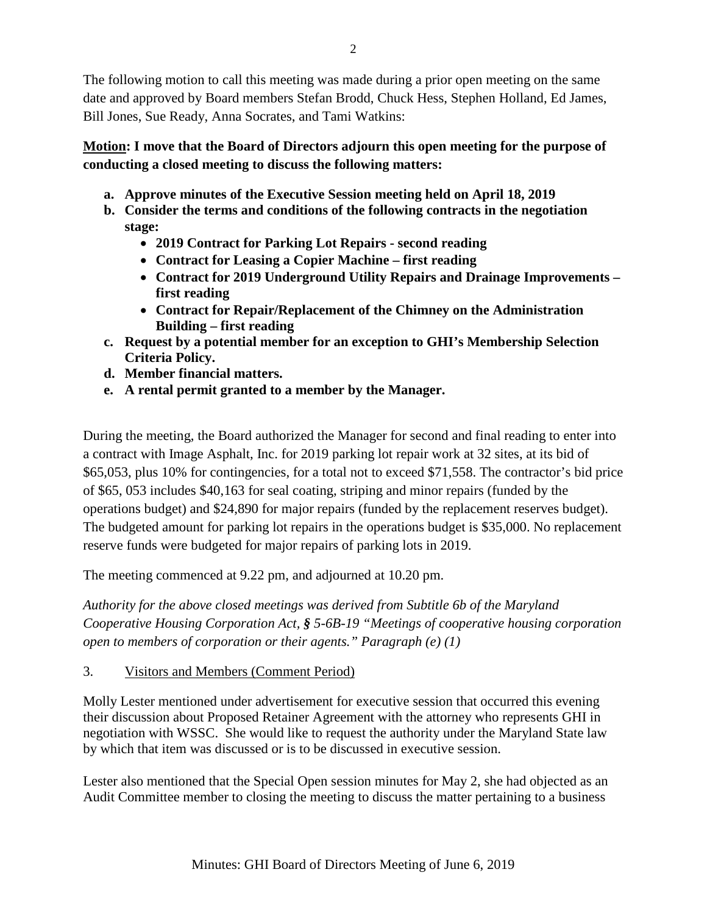The following motion to call this meeting was made during a prior open meeting on the same date and approved by Board members Stefan Brodd, Chuck Hess, Stephen Holland, Ed James, Bill Jones, Sue Ready, Anna Socrates, and Tami Watkins:

**Motion: I move that the Board of Directors adjourn this open meeting for the purpose of conducting a closed meeting to discuss the following matters:**

- **a. Approve minutes of the Executive Session meeting held on April 18, 2019**
- **b. Consider the terms and conditions of the following contracts in the negotiation stage:**
	- **2019 Contract for Parking Lot Repairs - second reading**
	- **Contract for Leasing a Copier Machine – first reading**
	- **Contract for 2019 Underground Utility Repairs and Drainage Improvements – first reading**
	- **Contract for Repair/Replacement of the Chimney on the Administration Building – first reading**
- **c. Request by a potential member for an exception to GHI's Membership Selection Criteria Policy.**
- **d. Member financial matters.**
- **e. A rental permit granted to a member by the Manager.**

During the meeting, the Board authorized the Manager for second and final reading to enter into a contract with Image Asphalt, Inc. for 2019 parking lot repair work at 32 sites, at its bid of \$65,053, plus 10% for contingencies, for a total not to exceed \$71,558. The contractor's bid price of \$65, 053 includes \$40,163 for seal coating, striping and minor repairs (funded by the operations budget) and \$24,890 for major repairs (funded by the replacement reserves budget). The budgeted amount for parking lot repairs in the operations budget is \$35,000. No replacement reserve funds were budgeted for major repairs of parking lots in 2019.

The meeting commenced at 9.22 pm, and adjourned at 10.20 pm.

*Authority for the above closed meetings was derived from Subtitle 6b of the Maryland Cooperative Housing Corporation Act, § 5-6B-19 "Meetings of cooperative housing corporation open to members of corporation or their agents." Paragraph (e) (1)*

3. Visitors and Members (Comment Period)

Molly Lester mentioned under advertisement for executive session that occurred this evening their discussion about Proposed Retainer Agreement with the attorney who represents GHI in negotiation with WSSC. She would like to request the authority under the Maryland State law by which that item was discussed or is to be discussed in executive session.

Lester also mentioned that the Special Open session minutes for May 2, she had objected as an Audit Committee member to closing the meeting to discuss the matter pertaining to a business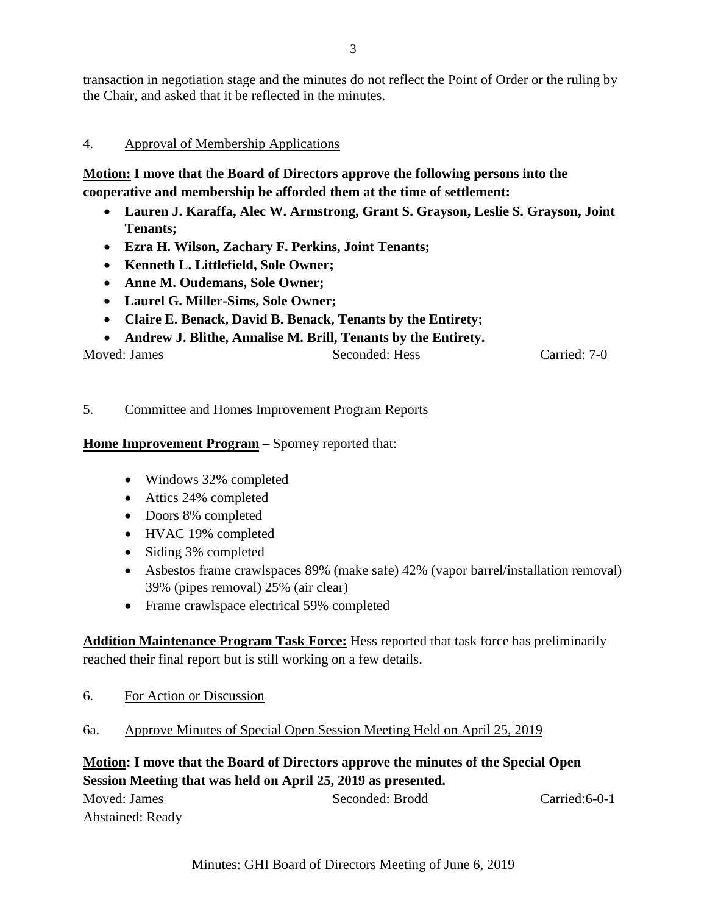transaction in negotiation stage and the minutes do not reflect the Point of Order or the ruling by the Chair, and asked that it be reflected in the minutes.

# 4. Approval of Membership Applications

**Motion: I move that the Board of Directors approve the following persons into the cooperative and membership be afforded them at the time of settlement:**

- **Lauren J. Karaffa, Alec W. Armstrong, Grant S. Grayson, Leslie S. Grayson, Joint Tenants;**
- **Ezra H. Wilson, Zachary F. Perkins, Joint Tenants;**
- **Kenneth L. Littlefield, Sole Owner;**
- **Anne M. Oudemans, Sole Owner;**
- **Laurel G. Miller-Sims, Sole Owner;**
- **Claire E. Benack, David B. Benack, Tenants by the Entirety;**
- **Andrew J. Blithe, Annalise M. Brill, Tenants by the Entirety.**

Moved: James Seconded: Hess Carried: 7-0

# 5. Committee and Homes Improvement Program Reports

**Home Improvement Program** – Sporney reported that:

- Windows 32% completed
- Attics 24% completed
- Doors 8% completed
- HVAC 19% completed
- Siding 3% completed
- Asbestos frame crawlspaces 89% (make safe) 42% (vapor barrel/installation removal) 39% (pipes removal) 25% (air clear)
- Frame crawlspace electrical 59% completed

**Addition Maintenance Program Task Force:** Hess reported that task force has preliminarily reached their final report but is still working on a few details.

- 6. For Action or Discussion
- 6a. Approve Minutes of Special Open Session Meeting Held on April 25, 2019

# **Motion: I move that the Board of Directors approve the minutes of the Special Open Session Meeting that was held on April 25, 2019 as presented.**

| Moved: James            | Seconded: Brodd | Carried: 6-0-1 |
|-------------------------|-----------------|----------------|
| <b>Abstained: Ready</b> |                 |                |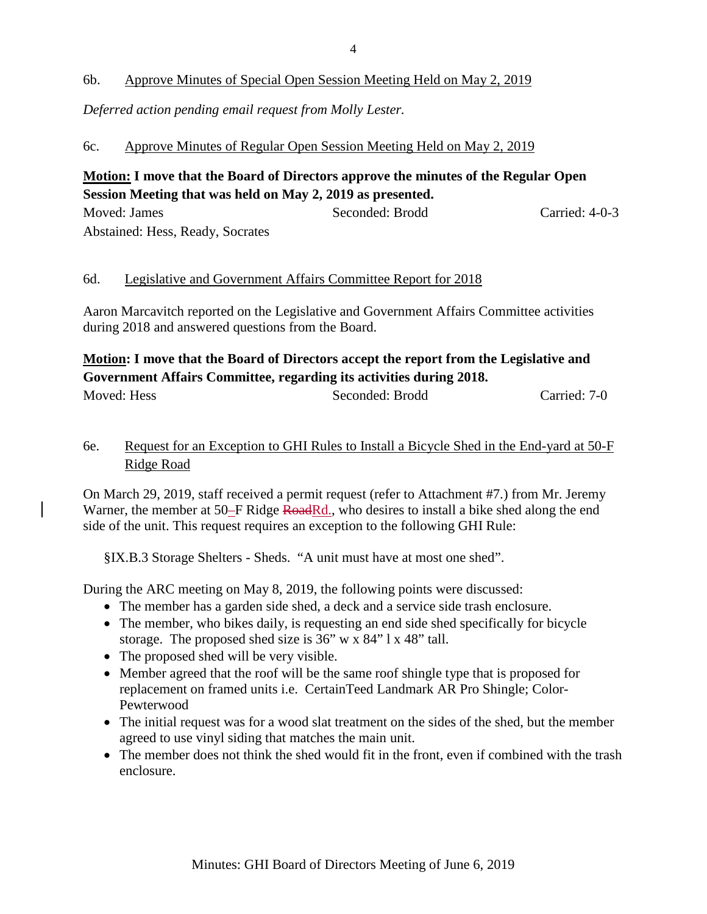# 6b. Approve Minutes of Special Open Session Meeting Held on May 2, 2019

*Deferred action pending email request from Molly Lester.*

### 6c. Approve Minutes of Regular Open Session Meeting Held on May 2, 2019

# **Motion: I move that the Board of Directors approve the minutes of the Regular Open Session Meeting that was held on May 2, 2019 as presented.**

Moved: James Seconded: Brodd Carried: 4-0-3 Abstained: Hess, Ready, Socrates

### 6d. Legislative and Government Affairs Committee Report for 2018

Aaron Marcavitch reported on the Legislative and Government Affairs Committee activities during 2018 and answered questions from the Board.

# **Motion: I move that the Board of Directors accept the report from the Legislative and Government Affairs Committee, regarding its activities during 2018.**

Moved: Hess Seconded: Brodd Carried: 7-0

# 6e. Request for an Exception to GHI Rules to Install a Bicycle Shed in the End-yard at 50-F Ridge Road

On March 29, 2019, staff received a permit request (refer to Attachment #7.) from Mr. Jeremy Warner, the member at 50–F Ridge RoadRd., who desires to install a bike shed along the end side of the unit. This request requires an exception to the following GHI Rule:

§IX.B.3 Storage Shelters - Sheds. "A unit must have at most one shed".

During the ARC meeting on May 8, 2019, the following points were discussed:

- The member has a garden side shed, a deck and a service side trash enclosure.
- The member, who bikes daily, is requesting an end side shed specifically for bicycle storage. The proposed shed size is 36" w x 84" l x 48" tall.
- The proposed shed will be very visible.
- Member agreed that the roof will be the same roof shingle type that is proposed for replacement on framed units i.e. CertainTeed Landmark AR Pro Shingle; Color-Pewterwood
- The initial request was for a wood slat treatment on the sides of the shed, but the member agreed to use vinyl siding that matches the main unit.
- The member does not think the shed would fit in the front, even if combined with the trash enclosure.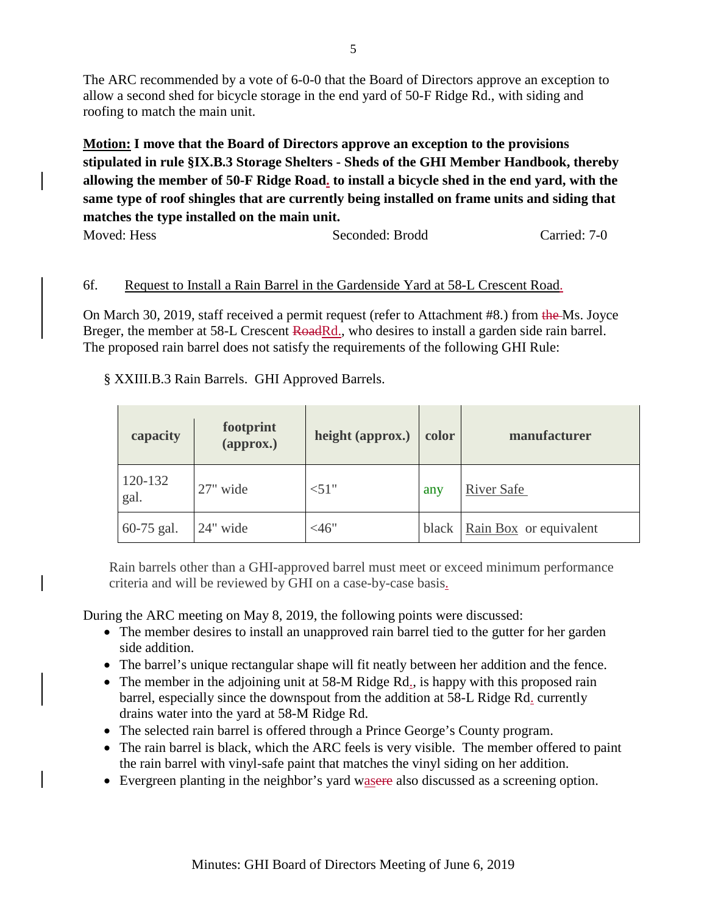The ARC recommended by a vote of 6-0-0 that the Board of Directors approve an exception to allow a second shed for bicycle storage in the end yard of 50-F Ridge Rd., with siding and roofing to match the main unit.

**Motion: I move that the Board of Directors approve an exception to the provisions stipulated in rule §IX.B.3 Storage Shelters - Sheds of the GHI Member Handbook, thereby allowing the member of 50-F Ridge Road. to install a bicycle shed in the end yard, with the same type of roof shingles that are currently being installed on frame units and siding that matches the type installed on the main unit.**

Moved: Hess Seconded: Brodd Carried: 7-0

# 6f. Request to Install a Rain Barrel in the Gardenside Yard at 58-L Crescent Road.

On March 30, 2019, staff received a permit request (refer to Attachment #8.) from the Ms. Joyce Breger, the member at 58-L Crescent RoadRd., who desires to install a garden side rain barrel. The proposed rain barrel does not satisfy the requirements of the following GHI Rule:

§ XXIII.B.3 Rain Barrels. GHI Approved Barrels.

| capacity        | footprint<br>(approx.) | height (approx.) | color | manufacturer           |
|-----------------|------------------------|------------------|-------|------------------------|
| 120-132<br>gal. | 27" wide               | < 51"            | any   | <b>River Safe</b>      |
| 60-75 gal.      | 24" wide               | $<$ 46"          | black | Rain Box or equivalent |

Rain barrels other than a GHI-approved barrel must meet or exceed minimum performance criteria and will be reviewed by GHI on a case-by-case basis.

During the ARC meeting on May 8, 2019, the following points were discussed:

- The member desires to install an unapproved rain barrel tied to the gutter for her garden side addition.
- The barrel's unique rectangular shape will fit neatly between her addition and the fence.
- The member in the adjoining unit at 58-M Ridge Rd., is happy with this proposed rain barrel, especially since the downspout from the addition at 58-L Ridge Rd. currently drains water into the yard at 58-M Ridge Rd.
- The selected rain barrel is offered through a Prince George's County program.
- The rain barrel is black, which the ARC feels is very visible. The member offered to paint the rain barrel with vinyl-safe paint that matches the vinyl siding on her addition.
- Evergreen planting in the neighbor's yard was ere also discussed as a screening option.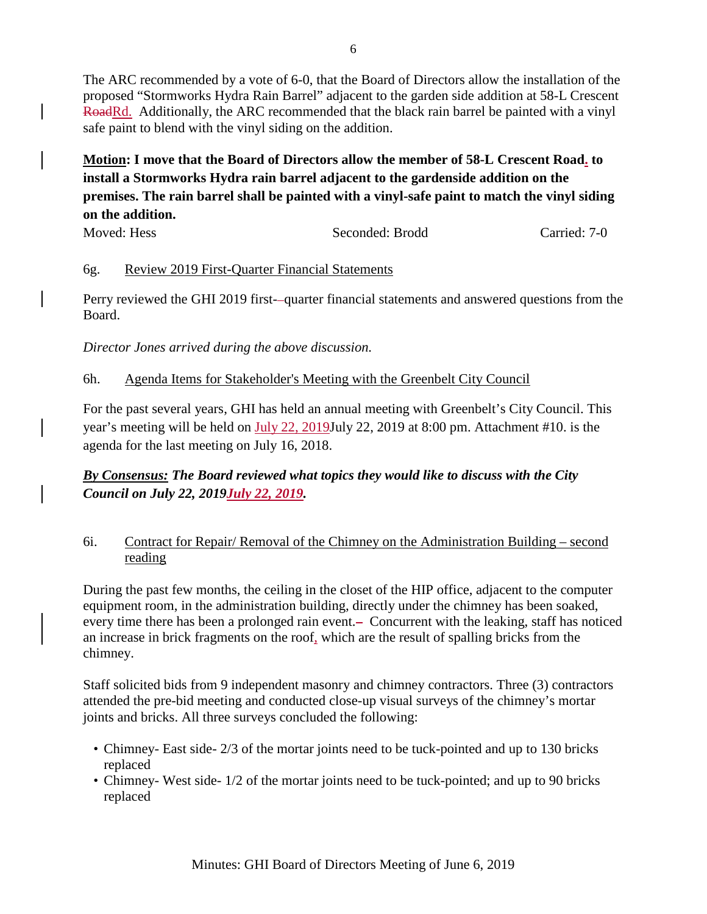The ARC recommended by a vote of 6-0, that the Board of Directors allow the installation of the proposed "Stormworks Hydra Rain Barrel" adjacent to the garden side addition at 58-L Crescent RoadRd. Additionally, the ARC recommended that the black rain barrel be painted with a vinyl safe paint to blend with the vinyl siding on the addition.

**Motion: I move that the Board of Directors allow the member of 58-L Crescent Road. to install a Stormworks Hydra rain barrel adjacent to the gardenside addition on the premises. The rain barrel shall be painted with a vinyl-safe paint to match the vinyl siding on the addition.**

Moved: Hess Seconded: Brodd Carried: 7-0

### 6g. Review 2019 First-Quarter Financial Statements

Perry reviewed the GHI 2019 first--quarter financial statements and answered questions from the Board.

*Director Jones arrived during the above discussion.*

### 6h. Agenda Items for Stakeholder's Meeting with the Greenbelt City Council

For the past several years, GHI has held an annual meeting with Greenbelt's City Council. This year's meeting will be held on July 22, 2019July 22, 2019 at 8:00 pm. Attachment #10. is the agenda for the last meeting on July 16, 2018.

# *By Consensus: The Board reviewed what topics they would like to discuss with the City Council on July 22, 2019July 22, 2019.*

# 6i. Contract for Repair/ Removal of the Chimney on the Administration Building – second reading

During the past few months, the ceiling in the closet of the HIP office, adjacent to the computer equipment room, in the administration building, directly under the chimney has been soaked, every time there has been a prolonged rain event.— Concurrent with the leaking, staff has noticed an increase in brick fragments on the roof, which are the result of spalling bricks from the chimney.

Staff solicited bids from 9 independent masonry and chimney contractors. Three (3) contractors attended the pre-bid meeting and conducted close-up visual surveys of the chimney's mortar joints and bricks. All three surveys concluded the following:

- Chimney- East side- 2/3 of the mortar joints need to be tuck-pointed and up to 130 bricks replaced
- Chimney- West side- 1/2 of the mortar joints need to be tuck-pointed; and up to 90 bricks replaced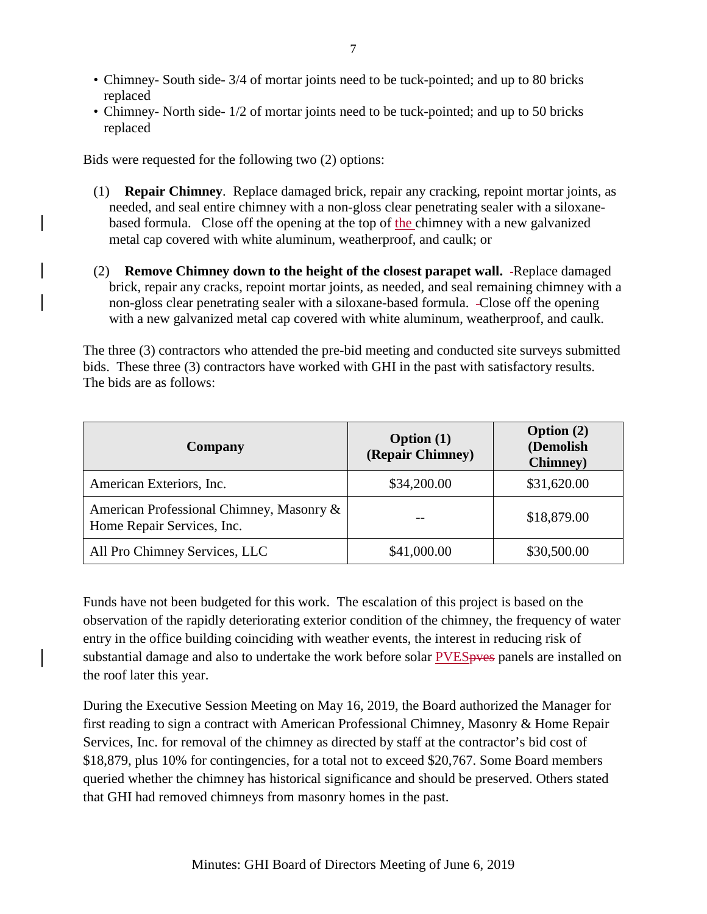- Chimney- South side- 3/4 of mortar joints need to be tuck-pointed; and up to 80 bricks replaced
- Chimney- North side- 1/2 of mortar joints need to be tuck-pointed; and up to 50 bricks replaced

Bids were requested for the following two (2) options:

- (1) **Repair Chimney**. Replace damaged brick, repair any cracking, repoint mortar joints, as needed, and seal entire chimney with a non-gloss clear penetrating sealer with a siloxanebased formula. Close off the opening at the top of the chimney with a new galvanized metal cap covered with white aluminum, weatherproof, and caulk; or
- (2) **Remove Chimney down to the height of the closest parapet wall.** -Replace damaged brick, repair any cracks, repoint mortar joints, as needed, and seal remaining chimney with a non-gloss clear penetrating sealer with a siloxane-based formula. Close off the opening with a new galvanized metal cap covered with white aluminum, weatherproof, and caulk.

The three (3) contractors who attended the pre-bid meeting and conducted site surveys submitted bids. These three (3) contractors have worked with GHI in the past with satisfactory results. The bids are as follows:

| Company                                                                | <b>Option</b> (1)<br>(Repair Chimney) | <b>Option</b> $(2)$<br>(Demolish<br><b>Chimney</b> ) |
|------------------------------------------------------------------------|---------------------------------------|------------------------------------------------------|
| American Exteriors, Inc.                                               | \$34,200.00                           | \$31,620.00                                          |
| American Professional Chimney, Masonry &<br>Home Repair Services, Inc. |                                       | \$18,879.00                                          |
| All Pro Chimney Services, LLC                                          | \$41,000.00                           | \$30,500.00                                          |

Funds have not been budgeted for this work. The escalation of this project is based on the observation of the rapidly deteriorating exterior condition of the chimney, the frequency of water entry in the office building coinciding with weather events, the interest in reducing risk of substantial damage and also to undertake the work before solar PVES pves panels are installed on the roof later this year.

During the Executive Session Meeting on May 16, 2019, the Board authorized the Manager for first reading to sign a contract with American Professional Chimney, Masonry & Home Repair Services, Inc. for removal of the chimney as directed by staff at the contractor's bid cost of \$18,879, plus 10% for contingencies, for a total not to exceed \$20,767. Some Board members queried whether the chimney has historical significance and should be preserved. Others stated that GHI had removed chimneys from masonry homes in the past.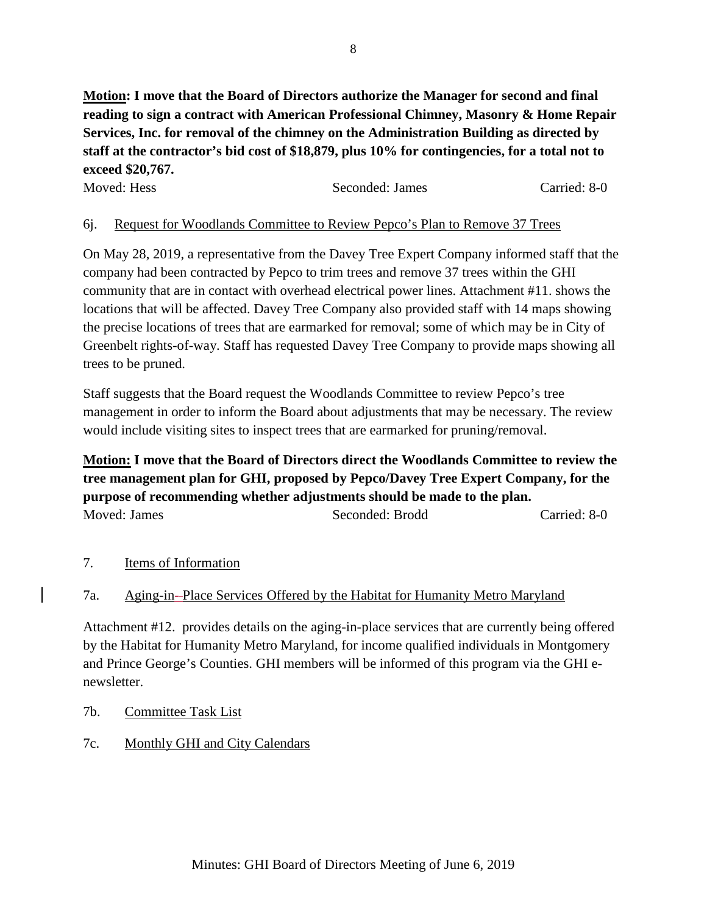**Motion: I move that the Board of Directors authorize the Manager for second and final reading to sign a contract with American Professional Chimney, Masonry & Home Repair Services, Inc. for removal of the chimney on the Administration Building as directed by staff at the contractor's bid cost of \$18,879, plus 10% for contingencies, for a total not to exceed \$20,767.**

| Moved: Hess | Seconded: James | Carried: 8-0 |
|-------------|-----------------|--------------|
|-------------|-----------------|--------------|

# 6j. Request for Woodlands Committee to Review Pepco's Plan to Remove 37 Trees

On May 28, 2019, a representative from the Davey Tree Expert Company informed staff that the company had been contracted by Pepco to trim trees and remove 37 trees within the GHI community that are in contact with overhead electrical power lines. Attachment #11. shows the locations that will be affected. Davey Tree Company also provided staff with 14 maps showing the precise locations of trees that are earmarked for removal; some of which may be in City of Greenbelt rights-of-way. Staff has requested Davey Tree Company to provide maps showing all trees to be pruned.

Staff suggests that the Board request the Woodlands Committee to review Pepco's tree management in order to inform the Board about adjustments that may be necessary. The review would include visiting sites to inspect trees that are earmarked for pruning/removal.

**Motion: I move that the Board of Directors direct the Woodlands Committee to review the tree management plan for GHI, proposed by Pepco/Davey Tree Expert Company, for the purpose of recommending whether adjustments should be made to the plan.**  Moved: James Seconded: Brodd Carried: 8-0

### 7. Items of Information

### 7a. Aging-in- Place Services Offered by the Habitat for Humanity Metro Maryland

Attachment #12. provides details on the aging-in-place services that are currently being offered by the Habitat for Humanity Metro Maryland, for income qualified individuals in Montgomery and Prince George's Counties. GHI members will be informed of this program via the GHI enewsletter.

- 7b. Committee Task List
- 7c. Monthly GHI and City Calendars